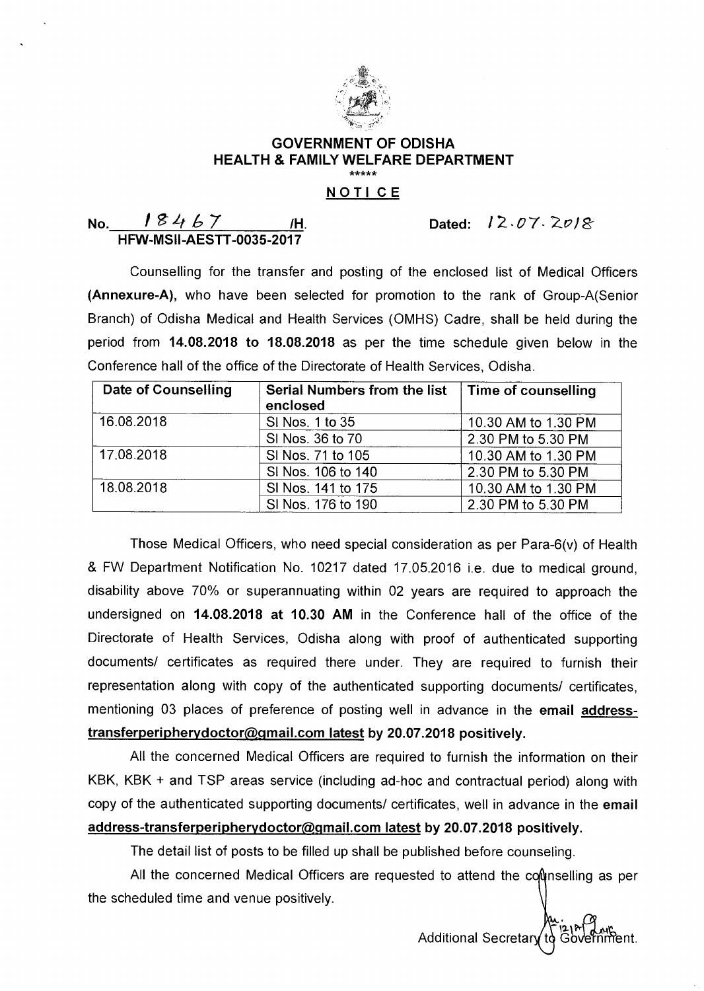

## **GOVERNMENT OF ODISHA HEALTH & FAMILY WELFARE DEPARTMENT**  .<br>مەمۇمەسەمە

## **NOTI CE**

| No. | 18467                           |  |
|-----|---------------------------------|--|
|     | <b>HFW-MSII-AESTT-0035-2017</b> |  |

Dated:  $12.07.2018$ 

Counselling for the transfer and posting of the enclosed list of Medical Officers **(Annexure-A),** who have been selected for promotion to the rank of Group-A(Senior Branch) of Odisha Medical and Health Services (OMHS) Cadre, shall be held during the period from **14.08.2018 to 18.08.2018** as per the time schedule given below in the Conference hall of the office of the Directorate of Health Services, Odisha.

| Date of Counselling | Serial Numbers from the list<br>enclosed | Time of counselling |
|---------------------|------------------------------------------|---------------------|
| 16.08.2018          | SI Nos. 1 to 35                          | 10.30 AM to 1.30 PM |
|                     | SI Nos. 36 to 70                         | 2.30 PM to 5.30 PM  |
| 17.08.2018          | SI Nos. 71 to 105                        | 10.30 AM to 1.30 PM |
|                     | SI Nos. 106 to 140                       | 2.30 PM to 5.30 PM  |
| 18.08.2018          | SI Nos. 141 to 175                       | 10.30 AM to 1.30 PM |
|                     | SI Nos. 176 to 190                       | 2.30 PM to 5.30 PM  |

Those Medical Officers, who need special consideration as per Para-6(v) of Health & FW Department Notification No. 10217 dated 17.05.2016 i.e. due to medical ground, disability above 70% or superannuating within 02 years are required to approach the undersigned on **14.08.2018 at 10.30 AM** in the Conference hall of the office of the Directorate of Health Services, Odisha along with proof of authenticated supporting documents/ certificates as required there under. They are required to furnish their representation along with copy of the authenticated supporting documents/ certificates, mentioning 03 places of preference of posting well in advance in the **email address**transferperipherydoctor@gmail.com latest by 20.07.2018 positively.

All the concerned Medical Officers are required to furnish the information on their KBK, KBK + and TSP areas service (including ad-hoc and contractual period) along with copy of the authenticated supporting documents/ certificates, well in advance in the **email**  address-transferperipherydoctor@gmail.com latest by 20.07.2018 positively.

The detail list of posts to be filled up shall be published before counseling.

All the concerned Medical Officers are requested to attend the counselling as per the scheduled time and venue positively.

> $121$  ans Additional Secretary to Government.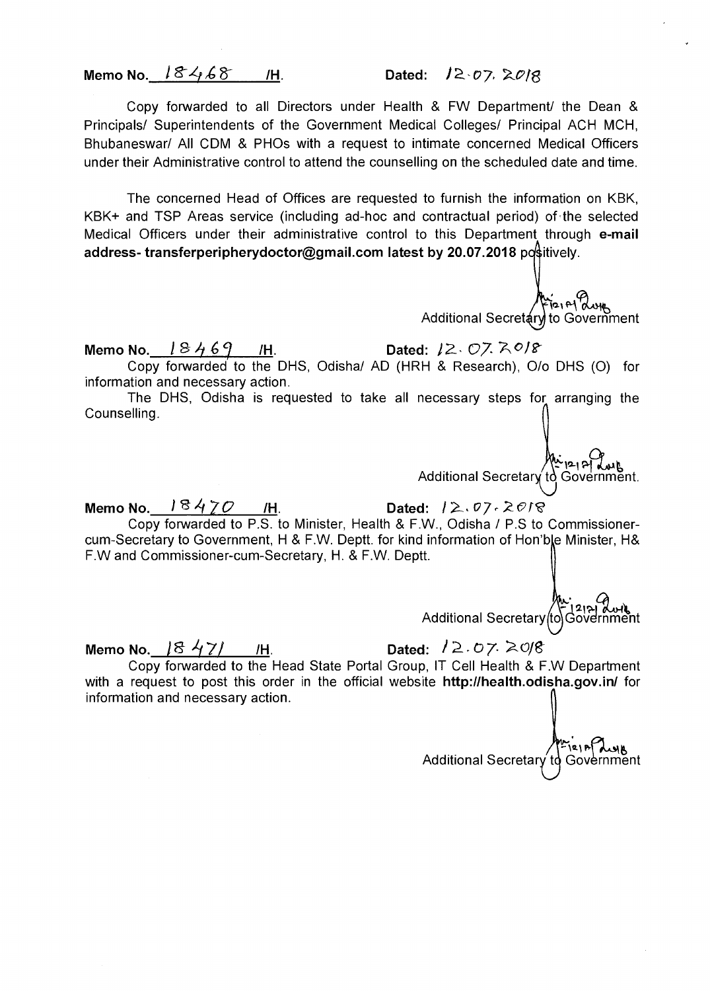**Memo No.**  $18468$  /H. Dated:  $12.07$ , 2018

Copy forwarded to all Directors under Health & FW Department/ the Dean & Principals/ Superintendents of the Government Medical Colleges/ Principal ACH MCH, Bhubaneswar/ All CDM & PHOs with a request to intimate concerned Medical Officers under their Administrative control to attend the counselling on the scheduled date and time.

The concerned Head of Offices are requested to furnish the information on KBK, KBK+ and TSP Areas service (including ad-hoc and contractual period) of the selected Medical Officers under their administrative control to this Department through **e-mail address- transferperipherydoctor@gmail.com latest by 20.07.2018 positively.** 

 $\mathbf{r}_{\mathbf{21}}$   $\mathbf{r}_{\mathbf{1}}^{\mathbf{2}}$ Additional Secretary to Government

**Memo No.**  $18469$  /H. Dated:  $12.07.7.07$ Copy forwarded to the DHS, Odisha/ AD (HRH & Research), 0/o DHS (0) for information and necessary action.

The DHS, Odisha is requested to take all necessary steps for arranging the Counselling.

Additional Secretary to Government.

**Memo No.**  $18470$  /H. Dated:  $12.07.2018$ 

Copy forwarded to P.S. to Minister, Health & F.W., Odisha / P.S to Commissionercum-Secretary to Government, H & F.W. Deptt. for kind information of Hon'ble Minister, H& F.W and Commissioner-cum-Secretary, H. & F.W. Deptt.

**الدين جميع**<br>Additional Secretary (to Government

**Memo No.**  $18471$  *I*H. Dated:  $12.07$   $208$ 

Copy forwarded to the Head State Portal Group, IT Cell Health & F.W Department with a request to post this order in the official website **http://health.odisha.gov.in/** for information and necessary action.

Additional Secretar  $25$ Government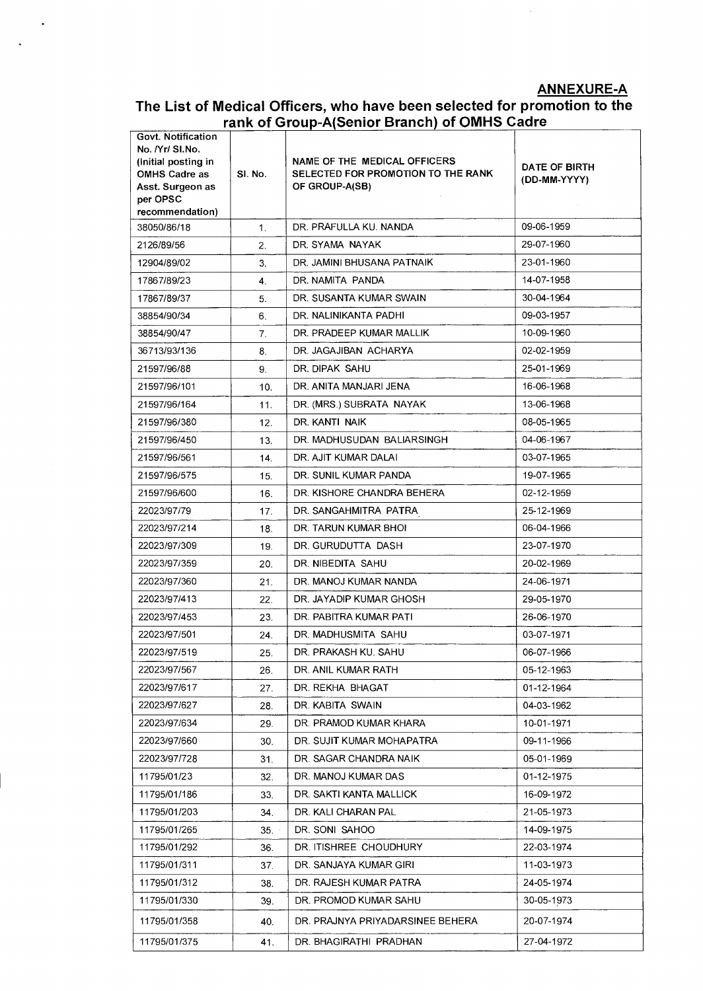**ANNEXURE-A** 

## **The List of Medical Officers, who have been selected for promotion to the**  rank of Group-A(Senior Branch) of OMHS Cadre

 $\ddot{\phantom{a}}$ 

| Govt. Notification<br>No. /Yr/ SI.No.<br>(Initial posting in<br><b>OMHS Cadre as</b><br>Asst. Surgeon as<br>per OPSC<br>recommendation) | SI. No. | NAME OF THE MEDICAL OFFICERS<br>SELECTED FOR PROMOTION TO THE RANK<br>OF GROUP-A(SB) | DATE OF BIRTH<br>(DD-MM-YYYY) |
|-----------------------------------------------------------------------------------------------------------------------------------------|---------|--------------------------------------------------------------------------------------|-------------------------------|
| 38050/86/18                                                                                                                             | 1.      | DR. PRAFULLA KU. NANDA                                                               | 09-06-1959                    |
| 2126/89/56                                                                                                                              | 2.      | DR. SYAMA NAYAK                                                                      | 29-07-1960                    |
| 12904/89/02                                                                                                                             | 3.      | DR. JAMINI BHUSANA PATNAIK                                                           | 23-01-1960                    |
| 17867/89/23                                                                                                                             | 4.      | DR. NAMITA PANDA                                                                     | 14-07-1958                    |
| 17867/89/37                                                                                                                             | 5.      | DR. SUSANTA KUMAR SWAIN                                                              | 30-04-1964                    |
| 38854/90/34                                                                                                                             | 6.      | DR. NALINIKANTA PADHI                                                                | 09-03-1957                    |
| 38854/90/47                                                                                                                             | 7.      | DR. PRADEEP KUMAR MALLIK                                                             | 10-09-1960                    |
| 36713/93/136                                                                                                                            | 8.      | DR. JAGAJIBAN ACHARYA                                                                | 02-02-1959                    |
| 21597/96/88                                                                                                                             | 9.      | DR. DIPAK SAHU                                                                       | 25-01-1969                    |
| 21597/96/101                                                                                                                            | 10.     | DR. ANITA MANJARI JENA                                                               | 16-06-1968                    |
| 21597/96/164                                                                                                                            | 11.     | DR. (MRS.) SUBRATA NAYAK                                                             | 13-06-1968                    |
| 21597/96/380                                                                                                                            | 12.     | DR. KANTI NAIK                                                                       | 08-05-1965                    |
| 21597/96/450                                                                                                                            | 13.     | DR. MADHUSUDAN BALIARSINGH                                                           | 04-06-1967                    |
| 21597/96/561                                                                                                                            | 14.     | DR. AJIT KUMAR DALAI                                                                 | 03-07-1965                    |
| 21597/96/575                                                                                                                            | 15.     | DR. SUNIL KUMAR PANDA                                                                | 19-07-1965                    |
| 21597/96/600                                                                                                                            | 16.     | DR. KISHORE CHANDRA BEHERA                                                           | 02-12-1959                    |
| 22023/97/79                                                                                                                             | 17.     | DR. SANGAHMITRA PATRA                                                                | 25-12-1969                    |
| 22023/97/214                                                                                                                            | 18.     | DR. TARUN KUMAR BHOI                                                                 | 06-04-1966                    |
| 22023/97/309                                                                                                                            | 19.     | DR. GURUDUTTA DASH                                                                   | 23-07-1970                    |
| 22023/97/359                                                                                                                            | 20.     | DR. NIBEDITA SAHU                                                                    | 20-02-1969                    |
| 22023/97/360                                                                                                                            | 21.     | DR. MANOJ KUMAR NANDA                                                                | 24-06-1971                    |
| 22023/97/413                                                                                                                            | 22.     | DR. JAYADIP KUMAR GHOSH                                                              | 29-05-1970                    |
| 22023/97/453                                                                                                                            | 23.     | DR. PABITRA KUMAR PATI                                                               | 26-06-1970                    |
| 22023/97/501                                                                                                                            | 24.     | DR. MADHUSMITA SAHU                                                                  | 03-07-1971                    |
| 22023/97/519                                                                                                                            | 25.     | DR. PRAKASH KU. SAHU                                                                 | 06-07-1966                    |
| 22023/97/567                                                                                                                            | 26.     | DR. ANIL KUMAR RATH                                                                  | 05-12-1963                    |
| 22023/97/617                                                                                                                            | 27.     | DR. REKHA BHAGAT                                                                     | 01-12-1964                    |
| 22023/97/627                                                                                                                            | 28.     | DR. KABITA SWAIN                                                                     | 04-03-1962                    |
| 22023/97/634                                                                                                                            | 29.     | DR. PRAMOD KUMAR KHARA                                                               | 10-01-1971                    |
| 22023/97/660                                                                                                                            | 30.     | DR. SUJIT KUMAR MOHAPATRA                                                            | 09-11-1966                    |
| 22023/97/728                                                                                                                            | 31.     | DR. SAGAR CHANDRA NAIK                                                               | 05-01-1969                    |
| 11795/01/23                                                                                                                             | 32.     | DR. MANOJ KUMAR DAS                                                                  | 01-12-1975                    |
| 11795/01/186                                                                                                                            | 33.     | DR. SAKTI KANTA MALLICK                                                              | 16-09-1972                    |
| 11795/01/203                                                                                                                            | 34.     | DR. KALI CHARAN PAL                                                                  | 21-05-1973                    |
| 11795/01/265                                                                                                                            | 35.     | DR. SONI SAHOO                                                                       | 14-09-1975                    |
| 11795/01/292                                                                                                                            | 36.     | DR. ITISHREE CHOUDHURY                                                               | 22-03-1974                    |
| 11795/01/311                                                                                                                            | 37.     | DR. SANJAYA KUMAR GIRI                                                               | 11-03-1973                    |
| 11795/01/312                                                                                                                            | 38.     | DR. RAJESH KUMAR PATRA                                                               | 24-05-1974                    |
| 11795/01/330                                                                                                                            | 39.     | DR. PROMOD KUMAR SAHU                                                                | 30-05-1973                    |
| 11795/01/358                                                                                                                            | 40.     | DR. PRAJNYA PRIYADARSINEE BEHERA                                                     | 20-07-1974                    |
| 11795/01/375                                                                                                                            | 41.     | DR. BHAGIRATHI PRADHAN                                                               | 27-04-1972                    |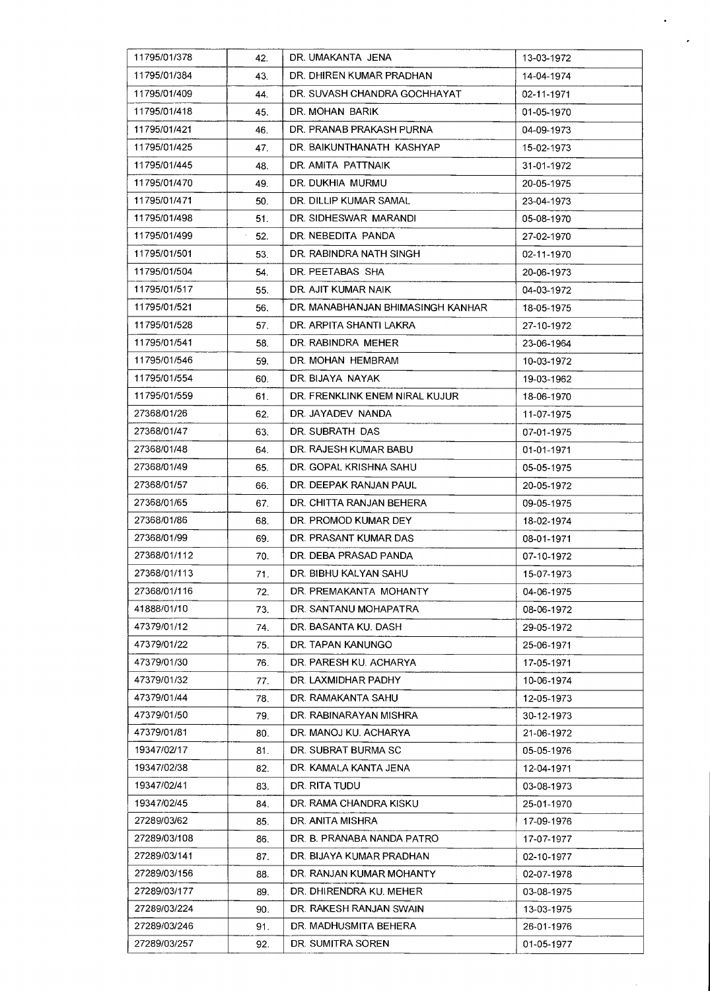| 11795/01/378 | 42. | DR. UMAKANTA JENA                 | 13-03-1972 |
|--------------|-----|-----------------------------------|------------|
| 11795/01/384 | 43. | DR. DHIREN KUMAR PRADHAN          | 14-04-1974 |
| 11795/01/409 | 44. | DR. SUVASH CHANDRA GOCHHAYAT      | 02-11-1971 |
| 11795/01/418 | 45. | DR. MOHAN BARIK                   | 01-05-1970 |
| 11795/01/421 | 46. | DR. PRANAB PRAKASH PURNA          | 04-09-1973 |
| 11795/01/425 | 47. | DR. BAIKUNTHANATH KASHYAP         | 15-02-1973 |
| 11795/01/445 | 48. | DR. AMITA PATTNAIK                | 31-01-1972 |
| 11795/01/470 | 49. | DR. DUKHIA MURMU                  | 20-05-1975 |
| 11795/01/471 | 50. | DR. DILLIP KUMAR SAMAL            | 23-04-1973 |
| 11795/01/498 | 51. | DR. SIDHESWAR MARANDI             | 05-08-1970 |
| 11795/01/499 | 52. | DR. NEBEDITA PANDA                | 27-02-1970 |
| 11795/01/501 | 53. | DR. RABINDRA NATH SINGH           | 02-11-1970 |
| 11795/01/504 | 54. | DR. PEETABAS SHA                  | 20-06-1973 |
| 11795/01/517 | 55. | DR. AJIT KUMAR NAIK               | 04-03-1972 |
| 11795/01/521 | 56. | DR. MANABHANJAN BHIMASINGH KANHAR | 18-05-1975 |
| 11795/01/528 | 57. | DR. ARPITA SHANTI LAKRA           | 27-10-1972 |
| 11795/01/541 | 58. | DR. RABINDRA MEHER                | 23-06-1964 |
| 11795/01/546 | 59. | DR. MOHAN HEMBRAM                 | 10-03-1972 |
| 11795/01/554 | 60. | DR. BIJAYA NAYAK                  | 19-03-1962 |
| 11795/01/559 | 61. | DR. FRENKLINK ENEM NIRAL KUJUR    | 18-06-1970 |
| 27368/01/26  | 62. | DR. JAYADEV NANDA                 | 11-07-1975 |
| 27368/01/47  | 63. | DR. SUBRATH DAS                   | 07-01-1975 |
| 27368/01/48  | 64. | DR. RAJESH KUMAR BABU             | 01-01-1971 |
| 27368/01/49  | 65. | DR. GOPAL KRISHNA SAHU            | 05-05-1975 |
| 27368/01/57  | 66. | DR. DEEPAK RANJAN PAUL            | 20-05-1972 |
| 27368/01/65  | 67. | DR. CHITTA RANJAN BEHERA          | 09-05-1975 |
| 27368/01/86  | 68. | DR. PROMOD KUMAR DEY              | 18-02-1974 |
| 27368/01/99  | 69. | DR. PRASANT KUMAR DAS             | 08-01-1971 |
| 27368/01/112 | 70. | DR. DEBA PRASAD PANDA             | 07-10-1972 |
| 27368/01/113 | 71. | DR. BIBHU KALYAN SAHU             | 15-07-1973 |
| 27368/01/116 | 72. | DR. PREMAKANTA MOHANTY            | 04-06-1975 |
| 41888/01/10  | 73. | DR. SANTANU MOHAPATRA             | 08-06-1972 |
| 47379/01/12  | 74. | DR. BASANTA KU. DASH              | 29-05-1972 |
| 47379/01/22  | 75. | DR. TAPAN KANUNGO                 | 25-06-1971 |
| 47379/01/30  | 76. | DR. PARESH KU. ACHARYA            | 17-05-1971 |
| 47379/01/32  | 77. | DR. LAXMIDHAR PADHY               | 10-06-1974 |
| 47379/01/44  | 78. | DR. RAMAKANTA SAHU                | 12-05-1973 |
| 47379/01/50  | 79. | DR. RABINARAYAN MISHRA            | 30-12-1973 |
| 47379/01/81  | 80. | DR. MANOJ KU. ACHARYA             | 21-06-1972 |
| 19347/02/17  | 81. | DR. SUBRAT BURMA SC               | 05-05-1976 |
| 19347/02/38  | 82. | DR. KAMALA KANTA JENA             | 12-04-1971 |
| 19347/02/41  | 83. | DR. RITA TUDU                     | 03-08-1973 |
| 19347/02/45  | 84. | DR. RAMA CHANDRA KISKU            | 25-01-1970 |
| 27289/03/62  | 85. | DR. ANITA MISHRA                  | 17-09-1976 |
| 27289/03/108 | 86. | DR. B. PRANABA NANDA PATRO        | 17-07-1977 |
| 27289/03/141 | 87. | DR. BIJAYA KUMAR PRADHAN          | 02-10-1977 |
| 27289/03/156 | 88. | DR. RANJAN KUMAR MOHANTY          | 02-07-1978 |
| 27289/03/177 | 89. | DR. DHIRENDRA KU. MEHER           | 03-08-1975 |
| 27289/03/224 | 90. | DR. RAKESH RANJAN SWAIN           | 13-03-1975 |
| 27289/03/246 | 91. | DR. MADHUSMITA BEHERA             | 26-01-1976 |
| 27289/03/257 | 92. | DR. SUMITRA SOREN                 | 01-05-1977 |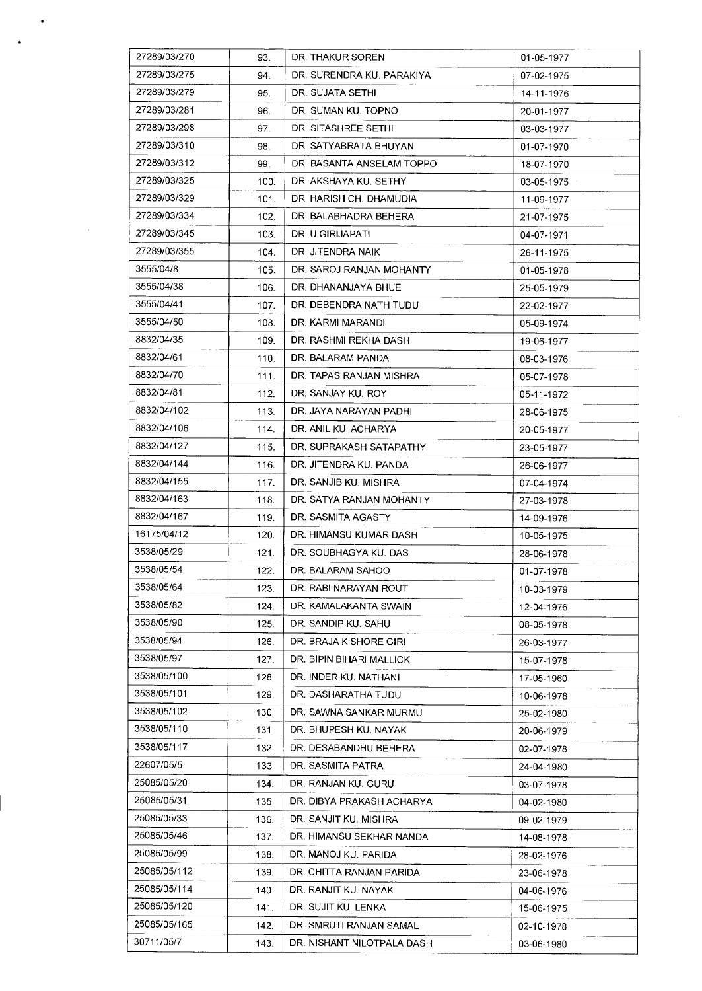| 27289/03/270         | 93.  | DR. THAKUR SOREN           | 01-05-1977           |
|----------------------|------|----------------------------|----------------------|
| 27289/03/275         | 94.  | DR. SURENDRA KU. PARAKIYA  | 07-02-1975           |
| 27289/03/279         | 95.  | DR. SUJATA SETHI           | 14-11-1976           |
| 27289/03/281         | 96.  | DR. SUMAN KU. TOPNO        | 20-01-1977           |
| 27289/03/298         | 97.  | DR. SITASHREE SETHI        | 03-03-1977           |
| 27289/03/310         | 98.  | DR. SATYABRATA BHUYAN      | 01-07-1970           |
| 27289/03/312         | 99.  | DR. BASANTA ANSELAM TOPPO  | 18-07-1970           |
| 27289/03/325         | 100. | DR. AKSHAYA KU, SETHY      | 03-05-1975           |
| 27289/03/329         | 101. | DR. HARISH CH. DHAMUDIA    | 11-09-1977           |
| 27289/03/334         | 102. | DR. BALABHADRA BEHERA      | 21-07-1975           |
| 27289/03/345         | 103. | DR. U.GIRIJAPATI           | 04-07-1971           |
| 27289/03/355         | 104. | DR. JITENDRA NAIK          | 26-11-1975           |
| 3555/04/8            | 105. | DR. SAROJ RANJAN MOHANTY   | 01-05-1978           |
| $\sim$<br>3555/04/38 | 106. | DR. DHANANJAYA BHUE        | 25-05-1979           |
| 3555/04/41           | 107. | DR. DEBENDRA NATH TUDU     | 22-02-1977           |
| 3555/04/50           | 108. | DR. KARMI MARANDI          | 05-09-1974           |
| 8832/04/35           | 109. | DR. RASHMI REKHA DASH      | 19-06-1977           |
| 8832/04/61           | 110. | DR. BALARAM PANDA          | 08-03-1976           |
| 8832/04/70           | 111. | DR. TAPAS RANJAN MISHRA    | 05-07-1978           |
| 8832/04/81           | 112. | DR. SANJAY KU, ROY         | 05-11-1972           |
| 8832/04/102          | 113. | DR. JAYA NARAYAN PADHI     | 28-06-1975           |
| 8832/04/106          | 114. | DR. ANIL KU. ACHARYA       | 20-05-1977           |
| 8832/04/127          | 115. | DR. SUPRAKASH SATAPATHY    | 23-05-1977           |
| 8832/04/144          | 116. | DR. JITENDRA KU. PANDA     | 26-06-1977           |
| 8832/04/155          | 117. | DR. SANJIB KU. MISHRA      | 07-04-1974           |
| 8832/04/163          | 118. | DR. SATYA RANJAN MOHANTY   | 27-03-1978           |
| 8832/04/167          | 119. | DR. SASMITA AGASTY         | 14-09-1976           |
| 16175/04/12          | 120. | DR. HIMANSU KUMAR DASH     | $\sim$<br>10-05-1975 |
| 3538/05/29           | 121. | DR. SOUBHAGYA KU. DAS      | 28-06-1978           |
| 3538/05/54           | 122. | DR. BALARAM SAHOO          | 01-07-1978           |
| 3538/05/64           | 123. | DR. RABI NARAYAN ROUT      | 10-03-1979           |
| 3538/05/82           | 124. | DR. KAMALAKANTA SWAIN      | 12-04-1976           |
| 3538/05/90           | 125. | DR. SANDIP KU. SAHU        | 08-05-1978           |
| 3538/05/94           | 126. | DR. BRAJA KISHORE GIRI     | 26-03-1977           |
| 3538/05/97           | 127. | DR. BIPIN BIHARI MALLICK   | 15-07-1978           |
| 3538/05/100          | 128. | DR. INDER KU. NATHANI      | 17-05-1960           |
| 3538/05/101          | 129. | DR. DASHARATHA TUDU        | 10-06-1978           |
| 3538/05/102          | 130. | DR. SAWNA SANKAR MURMU     | 25-02-1980           |
| 3538/05/110          | 131. | DR. BHUPESH KU. NAYAK      | 20-06-1979           |
| 3538/05/117          | 132. | DR. DESABANDHU BEHERA      | 02-07-1978           |
| 22607/05/5           | 133. | DR. SASMITA PATRA          | 24-04-1980           |
| 25085/05/20          | 134. | DR. RANJAN KU. GURU        | 03-07-1978           |
| 25085/05/31          | 135. | DR. DIBYA PRAKASH ACHARYA  | 04-02-1980           |
| 25085/05/33          | 136. | DR. SANJIT KU. MISHRA      | 09-02-1979           |
| 25085/05/46          | 137. | DR. HIMANSU SEKHAR NANDA   | 14-08-1978           |
| 25085/05/99          | 138. | DR. MANOJ KU. PARIDA       | 28-02-1976           |
| 25085/05/112         | 139. | DR. CHITTA RANJAN PARIDA   | 23-06-1978           |
| 25085/05/114         | 140. | DR. RANJIT KU, NAYAK       | 04-06-1976           |
| 25085/05/120         | 141. | DR. SUJIT KU. LENKA        | 15-06-1975           |
| 25085/05/165         | 142. | DR. SMRUTI RANJAN SAMAL    | 02-10-1978           |
| 30711/05/7           | 143. | DR. NISHANT NILOTPALA DASH | 03-06-1980           |

 $\sim$